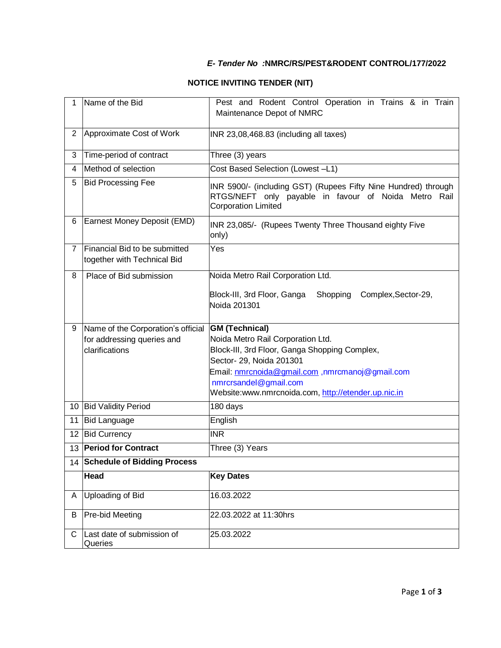## *E- Tender No :***NMRC/RS/PEST&RODENT CONTROL/177/2022**

## **NOTICE INVITING TENDER (NIT)**

| 1              | Name of the Bid                                              | Pest and Rodent Control Operation in Trains & in Train<br>Maintenance Depot of NMRC                                                                  |
|----------------|--------------------------------------------------------------|------------------------------------------------------------------------------------------------------------------------------------------------------|
| $\overline{2}$ | Approximate Cost of Work                                     | INR 23,08,468.83 (including all taxes)                                                                                                               |
| 3              | Time-period of contract                                      | Three (3) years                                                                                                                                      |
| 4              | Method of selection                                          | Cost Based Selection (Lowest -L1)                                                                                                                    |
| 5              | <b>Bid Processing Fee</b>                                    | INR 5900/- (including GST) (Rupees Fifty Nine Hundred) through<br>RTGS/NEFT only payable in favour of Noida Metro Rail<br><b>Corporation Limited</b> |
| 6              | Earnest Money Deposit (EMD)                                  | INR 23,085/- (Rupees Twenty Three Thousand eighty Five<br>only)                                                                                      |
| $\overline{7}$ | Financial Bid to be submitted<br>together with Technical Bid | Yes                                                                                                                                                  |
| 8              | Place of Bid submission                                      | Noida Metro Rail Corporation Ltd.                                                                                                                    |
|                |                                                              | Block-III, 3rd Floor, Ganga<br>Complex, Sector-29,<br>Shopping<br>Noida 201301                                                                       |
|                |                                                              |                                                                                                                                                      |
| 9              | Name of the Corporation's official                           | <b>GM (Technical)</b>                                                                                                                                |
|                | for addressing queries and                                   | Noida Metro Rail Corporation Ltd.                                                                                                                    |
|                | clarifications                                               | Block-III, 3rd Floor, Ganga Shopping Complex,                                                                                                        |
|                |                                                              | Sector- 29, Noida 201301<br>Email: nmrcnoida@gmail.com ,nmrcmanoj@gmail.com                                                                          |
|                |                                                              | nmrcrsandel@gmail.com                                                                                                                                |
|                |                                                              | Website:www.nmrcnoida.com, http://etender.up.nic.in                                                                                                  |
|                | 10 Bid Validity Period                                       | 180 days                                                                                                                                             |
| 11             | <b>Bid Language</b>                                          | English                                                                                                                                              |
| 12             | <b>Bid Currency</b>                                          | <b>INR</b>                                                                                                                                           |
|                | 13 Period for Contract                                       | Three (3) Years                                                                                                                                      |
|                | 14 Schedule of Bidding Process                               |                                                                                                                                                      |
|                | Head                                                         | <b>Key Dates</b>                                                                                                                                     |
| A              | Uploading of Bid                                             | 16.03.2022                                                                                                                                           |
| B              | Pre-bid Meeting<br>Last date of submission of                | 22.03.2022 at 11:30hrs                                                                                                                               |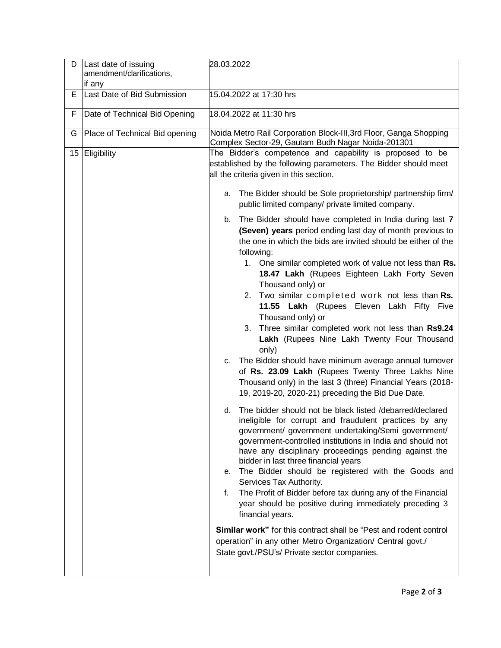| D                | Last date of issuing<br>amendment/clarifications,<br>if any | 28.03.2022                                                                                                                                                                                                                                                                                                                                                                                                                                                                                                                                                                                                                                                                                                                                                                                                                                                                                                                                                                                                                                                                                                                                                                                                                                                                                                                                                                                                                                                                                                                                                                                                                                                                                                                                                                                                                                                                                                            |
|------------------|-------------------------------------------------------------|-----------------------------------------------------------------------------------------------------------------------------------------------------------------------------------------------------------------------------------------------------------------------------------------------------------------------------------------------------------------------------------------------------------------------------------------------------------------------------------------------------------------------------------------------------------------------------------------------------------------------------------------------------------------------------------------------------------------------------------------------------------------------------------------------------------------------------------------------------------------------------------------------------------------------------------------------------------------------------------------------------------------------------------------------------------------------------------------------------------------------------------------------------------------------------------------------------------------------------------------------------------------------------------------------------------------------------------------------------------------------------------------------------------------------------------------------------------------------------------------------------------------------------------------------------------------------------------------------------------------------------------------------------------------------------------------------------------------------------------------------------------------------------------------------------------------------------------------------------------------------------------------------------------------------|
| Е                | Last Date of Bid Submission                                 | 15.04.2022 at 17:30 hrs                                                                                                                                                                                                                                                                                                                                                                                                                                                                                                                                                                                                                                                                                                                                                                                                                                                                                                                                                                                                                                                                                                                                                                                                                                                                                                                                                                                                                                                                                                                                                                                                                                                                                                                                                                                                                                                                                               |
| F.               | Date of Technical Bid Opening                               | 18.04.2022 at 11:30 hrs                                                                                                                                                                                                                                                                                                                                                                                                                                                                                                                                                                                                                                                                                                                                                                                                                                                                                                                                                                                                                                                                                                                                                                                                                                                                                                                                                                                                                                                                                                                                                                                                                                                                                                                                                                                                                                                                                               |
| G                | Place of Technical Bid opening                              | Noida Metro Rail Corporation Block-III, 3rd Floor, Ganga Shopping<br>Complex Sector-29, Gautam Budh Nagar Noida-201301                                                                                                                                                                                                                                                                                                                                                                                                                                                                                                                                                                                                                                                                                                                                                                                                                                                                                                                                                                                                                                                                                                                                                                                                                                                                                                                                                                                                                                                                                                                                                                                                                                                                                                                                                                                                |
| 15 <sub>15</sub> | Eligibility                                                 | The Bidder's competence and capability is proposed to be<br>established by the following parameters. The Bidder should meet<br>all the criteria given in this section.<br>The Bidder should be Sole proprietorship/ partnership firm/<br>а.<br>public limited company/ private limited company.<br>The Bidder should have completed in India during last 7<br>b.<br>(Seven) years period ending last day of month previous to<br>the one in which the bids are invited should be either of the<br>following:<br>1. One similar completed work of value not less than Rs.<br>18.47 Lakh (Rupees Eighteen Lakh Forty Seven<br>Thousand only) or<br>Two similar completed work not less than Rs.<br>2.<br>11.55 Lakh (Rupees Eleven Lakh Fifty Five<br>Thousand only) or<br>Three similar completed work not less than Rs9.24<br>3.<br>Lakh (Rupees Nine Lakh Twenty Four Thousand<br>only)<br>The Bidder should have minimum average annual turnover<br>C.<br>of Rs. 23.09 Lakh (Rupees Twenty Three Lakhs Nine<br>Thousand only) in the last 3 (three) Financial Years (2018-<br>19, 2019-20, 2020-21) preceding the Bid Due Date.<br>The bidder should not be black listed /debarred/declared<br>d.<br>ineligible for corrupt and fraudulent practices by any<br>government/ government undertaking/Semi government/<br>government-controlled institutions in India and should not<br>have any disciplinary proceedings pending against the<br>bidder in last three financial years<br>e. The Bidder should be registered with the Goods and<br>Services Tax Authority.<br>The Profit of Bidder before tax during any of the Financial<br>f.<br>year should be positive during immediately preceding 3<br>financial years.<br><b>Similar work</b> " for this contract shall be "Pest and rodent control<br>operation" in any other Metro Organization/ Central govt./<br>State govt./PSU's/ Private sector companies. |
|                  |                                                             |                                                                                                                                                                                                                                                                                                                                                                                                                                                                                                                                                                                                                                                                                                                                                                                                                                                                                                                                                                                                                                                                                                                                                                                                                                                                                                                                                                                                                                                                                                                                                                                                                                                                                                                                                                                                                                                                                                                       |